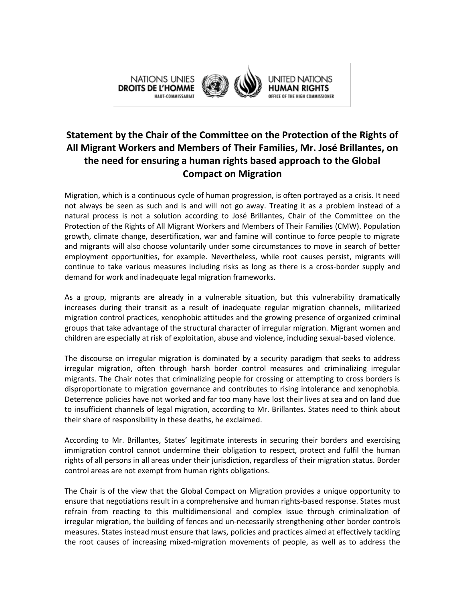

## **Statement by the Chair of the Committee on the Protection of the Rights of All Migrant Workers and Members of Their Families, Mr. José Brillantes, on the need for ensuring a human rights based approach to the Global Compact on Migration**

Migration, which is a continuous cycle of human progression, is often portrayed as a crisis. It need not always be seen as such and is and will not go away. Treating it as a problem instead of a natural process is not a solution according to José Brillantes, Chair of the Committee on the Protection of the Rights of All Migrant Workers and Members of Their Families (CMW). Population growth, climate change, desertification, war and famine will continue to force people to migrate and migrants will also choose voluntarily under some circumstances to move in search of better employment opportunities, for example. Nevertheless, while root causes persist, migrants will continue to take various measures including risks as long as there is a cross-border supply and demand for work and inadequate legal migration frameworks.

As a group, migrants are already in a vulnerable situation, but this vulnerability dramatically increases during their transit as a result of inadequate regular migration channels, militarized migration control practices, xenophobic attitudes and the growing presence of organized criminal groups that take advantage of the structural character of irregular migration. Migrant women and children are especially at risk of exploitation, abuse and violence, including sexual-based violence.

The discourse on irregular migration is dominated by a security paradigm that seeks to address irregular migration, often through harsh border control measures and criminalizing irregular migrants. The Chair notes that criminalizing people for crossing or attempting to cross borders is disproportionate to migration governance and contributes to rising intolerance and xenophobia. Deterrence policies have not worked and far too many have lost their lives at sea and on land due to insufficient channels of legal migration, according to Mr. Brillantes. States need to think about their share of responsibility in these deaths, he exclaimed.

According to Mr. Brillantes, States' legitimate interests in securing their borders and exercising immigration control cannot undermine their obligation to respect, protect and fulfil the human rights of all persons in all areas under their jurisdiction, regardless of their migration status. Border control areas are not exempt from human rights obligations.

The Chair is of the view that the Global Compact on Migration provides a unique opportunity to ensure that negotiations result in a comprehensive and human rights-based response. States must refrain from reacting to this multidimensional and complex issue through criminalization of irregular migration, the building of fences and un-necessarily strengthening other border controls measures. States instead must ensure that laws, policies and practices aimed at effectively tackling the root causes of increasing mixed-migration movements of people, as well as to address the